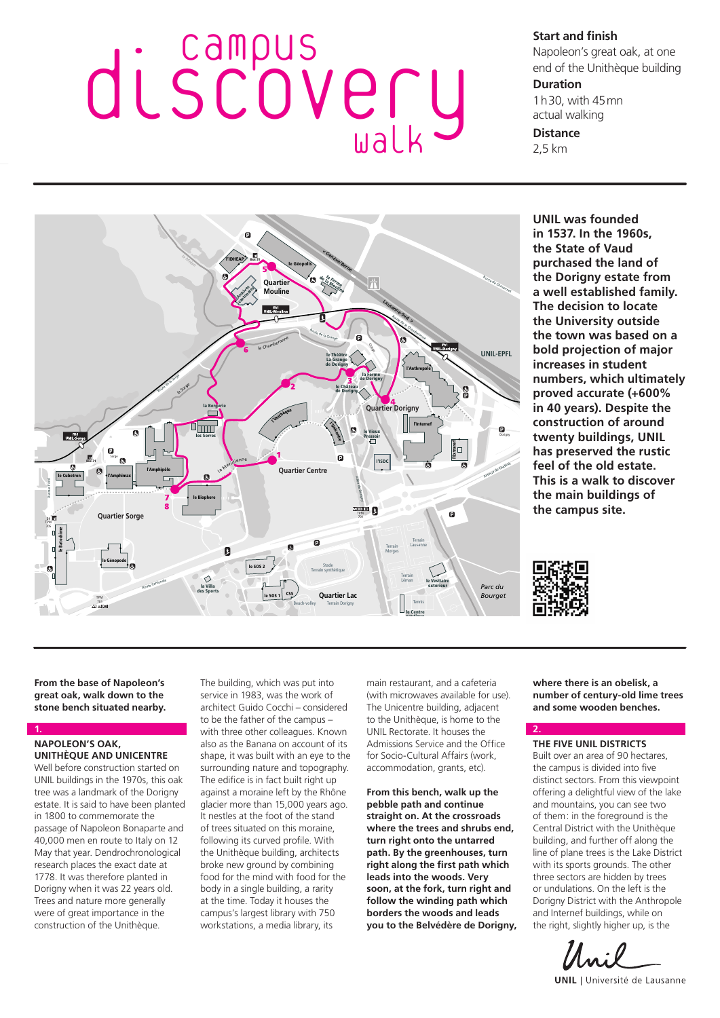# discovery Campus walk

**Start and finish**

Napoleon's great oak, at one end of the Unithèque building

## **Duration**

1h30, with 45mn actual walking

**Distance**

2,5 km



**UNIL was founded in 1537. In the 1960s, the State of Vaud purchased the land of the Dorigny estate from a well established family. The decision to locate the University outside the town was based on a bold projection of major increases in student numbers, which ultimately proved accurate (+600% in 40 years). Despite the construction of around twenty buildings, UNIL has preserved the rustic feel of the old estate. This is a walk to discover the main buildings of the campus site.**



**2.**

**From the base of Napoleon's great oak, walk down to the stone bench situated nearby.**

## **NAPOLEON'S OAK, UNITHÈQUE AND UNICENTRE**

**1.**

Well before construction started on UNIL buildings in the 1970s, this oak tree was a landmark of the Dorigny estate. It is said to have been planted in 1800 to commemorate the passage of Napoleon Bonaparte and 40,000 men en route to Italy on 12 May that year. Dendrochronological research places the exact date at 1778. It was therefore planted in Dorigny when it was 22 years old. Trees and nature more generally were of great importance in the construction of the Unithèque.

The building, which was put into service in 1983, was the work of architect Guido Cocchi – considered to be the father of the campus – with three other colleagues. Known also as the Banana on account of its shape, it was built with an eye to the surrounding nature and topography. The edifice is in fact built right up against a moraine left by the Rhône glacier more than 15,000 years ago. It nestles at the foot of the stand of trees situated on this moraine, following its curved profile. With the Unithèque building, architects broke new ground by combining food for the mind with food for the body in a single building, a rarity at the time. Today it houses the campus's largest library with 750 workstations, a media library, its

main restaurant, and a cafeteria (with microwaves available for use). The Unicentre building, adjacent to the Unithèque, is home to the UNIL Rectorate. It houses the Admissions Service and the Office for Socio-Cultural Affairs (work, accommodation, grants, etc).

**From this bench, walk up the pebble path and continue straight on. At the crossroads where the trees and shrubs end, turn right onto the untarred path. By the greenhouses, turn right along the first path which leads into the woods. Very soon, at the fork, turn right and follow the winding path which borders the woods and leads you to the Belvédère de Dorigny,**  **where there is an obelisk, a number of century-old lime trees and some wooden benches.**

## **THE FIVE UNIL DISTRICTS**

Built over an area of 90 hectares, the campus is divided into five distinct sectors. From this viewpoint offering a delightful view of the lake and mountains, you can see two of them: in the foreground is the Central District with the Unithèque building, and further off along the line of plane trees is the Lake District with its sports grounds. The other three sectors are hidden by trees or undulations. On the left is the Dorigny District with the Anthropole and Internef buildings, while on the right, slightly higher up, is the

**UNIL** | Université de Lausanne